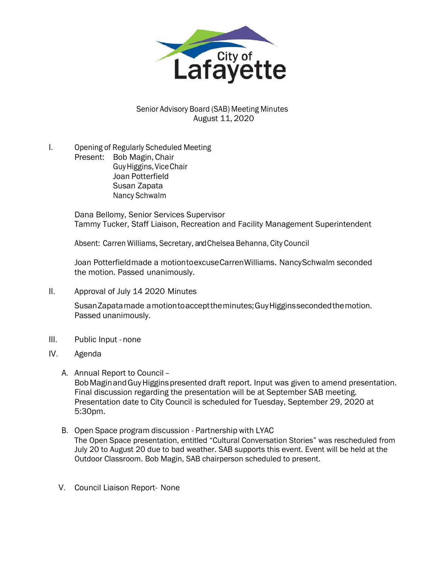

Senior Advisory Board (SAB) Meeting Minutes August 11, 2020

I. Opening of Regularly Scheduled Meeting Present: Bob Magin, Chair GuyHiggins,ViceChair Joan Potterfield Susan Zapata Nancy Schwalm

> Dana Bellomy, Senior Services Supervisor Tammy Tucker, Staff Liaison, Recreation and Facility Management Superintendent

Absent: Carren Williams, Secretary, and Chelsea Behanna, City Council

Joan Potterfieldmade a motiontoexcuseCarrenWilliams. NancySchwalm seconded the motion. Passed unanimously.

II. Approval of July 14 2020 Minutes

SusanZapatamade amotiontoaccepttheminutes;GuyHigginssecondedthemotion. Passed unanimously.

- III. Public Input none
- IV. Agenda
	- A. Annual Report to Council– BobMaginandGuyHigginspresented draft report. Input was given to amend presentation. Final discussion regarding the presentation will be at September SAB meeting. Presentation date to City Council is scheduled for Tuesday, September 29, 2020 at 5:30pm.
	- B. Open Space program discussion Partnership with LYAC The Open Space presentation, entitled "Cultural Conversation Stories" was rescheduled from July 20 to August 20 due to bad weather. SAB supports this event. Event will be held at the Outdoor Classroom. Bob Magin, SAB chairperson scheduled to present.
	- V. Council Liaison Report- None